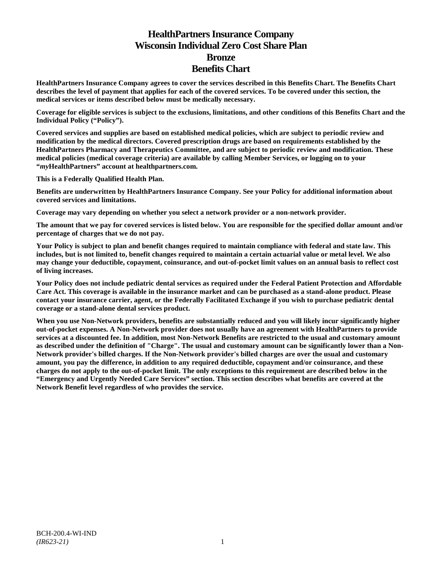# **HealthPartners Insurance Company Wisconsin Individual Zero Cost Share Plan Bronze Benefits Chart**

**HealthPartners Insurance Company agrees to cover the services described in this Benefits Chart. The Benefits Chart describes the level of payment that applies for each of the covered services. To be covered under this section, the medical services or items described below must be medically necessary.**

**Coverage for eligible services is subject to the exclusions, limitations, and other conditions of this Benefits Chart and the Individual Policy ("Policy").**

**Covered services and supplies are based on established medical policies, which are subject to periodic review and modification by the medical directors. Covered prescription drugs are based on requirements established by the HealthPartners Pharmacy and Therapeutics Committee, and are subject to periodic review and modification. These medical policies (medical coverage criteria) are available by calling Member Services, or logging on to your "***my***HealthPartners" account at [healthpartners.com.](http://www.healthpartners.com/)**

**This is a Federally Qualified Health Plan.**

**Benefits are underwritten by HealthPartners Insurance Company. See your Policy for additional information about covered services and limitations.**

**Coverage may vary depending on whether you select a network provider or a non-network provider.**

**The amount that we pay for covered services is listed below. You are responsible for the specified dollar amount and/or percentage of charges that we do not pay.**

**Your Policy is subject to plan and benefit changes required to maintain compliance with federal and state law. This includes, but is not limited to, benefit changes required to maintain a certain actuarial value or metal level. We also may change your deductible, copayment, coinsurance, and out-of-pocket limit values on an annual basis to reflect cost of living increases.**

**Your Policy does not include pediatric dental services as required under the Federal Patient Protection and Affordable Care Act. This coverage is available in the insurance market and can be purchased as a stand-alone product. Please contact your insurance carrier, agent, or the Federally Facilitated Exchange if you wish to purchase pediatric dental coverage or a stand-alone dental services product.**

**When you use Non-Network providers, benefits are substantially reduced and you will likely incur significantly higher out-of-pocket expenses. A Non-Network provider does not usually have an agreement with HealthPartners to provide services at a discounted fee. In addition, most Non-Network Benefits are restricted to the usual and customary amount as described under the definition of "Charge". The usual and customary amount can be significantly lower than a Non-Network provider's billed charges. If the Non-Network provider's billed charges are over the usual and customary amount, you pay the difference, in addition to any required deductible, copayment and/or coinsurance, and these charges do not apply to the out-of-pocket limit. The only exceptions to this requirement are described below in the "Emergency and Urgently Needed Care Services" section. This section describes what benefits are covered at the Network Benefit level regardless of who provides the service.**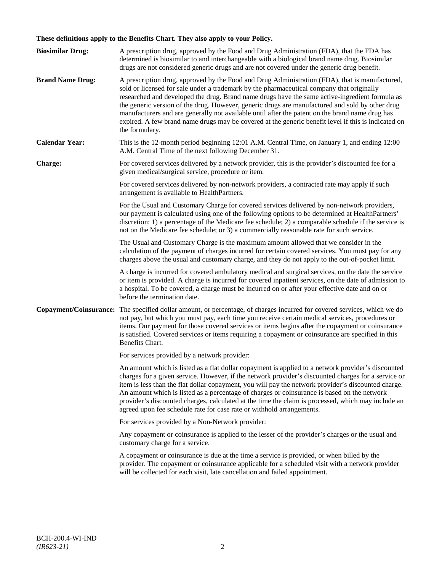# **These definitions apply to the Benefits Chart. They also apply to your Policy.**

| <b>Biosimilar Drug:</b> | A prescription drug, approved by the Food and Drug Administration (FDA), that the FDA has<br>determined is biosimilar to and interchangeable with a biological brand name drug. Biosimilar<br>drugs are not considered generic drugs and are not covered under the generic drug benefit.                                                                                                                                                                                                                                                                                                                                     |
|-------------------------|------------------------------------------------------------------------------------------------------------------------------------------------------------------------------------------------------------------------------------------------------------------------------------------------------------------------------------------------------------------------------------------------------------------------------------------------------------------------------------------------------------------------------------------------------------------------------------------------------------------------------|
| <b>Brand Name Drug:</b> | A prescription drug, approved by the Food and Drug Administration (FDA), that is manufactured,<br>sold or licensed for sale under a trademark by the pharmaceutical company that originally<br>researched and developed the drug. Brand name drugs have the same active-ingredient formula as<br>the generic version of the drug. However, generic drugs are manufactured and sold by other drug<br>manufacturers and are generally not available until after the patent on the brand name drug has<br>expired. A few brand name drugs may be covered at the generic benefit level if this is indicated on<br>the formulary. |
| <b>Calendar Year:</b>   | This is the 12-month period beginning 12:01 A.M. Central Time, on January 1, and ending 12:00<br>A.M. Central Time of the next following December 31.                                                                                                                                                                                                                                                                                                                                                                                                                                                                        |
| Charge:                 | For covered services delivered by a network provider, this is the provider's discounted fee for a<br>given medical/surgical service, procedure or item.                                                                                                                                                                                                                                                                                                                                                                                                                                                                      |
|                         | For covered services delivered by non-network providers, a contracted rate may apply if such<br>arrangement is available to HealthPartners.                                                                                                                                                                                                                                                                                                                                                                                                                                                                                  |
|                         | For the Usual and Customary Charge for covered services delivered by non-network providers,<br>our payment is calculated using one of the following options to be determined at HealthPartners'<br>discretion: 1) a percentage of the Medicare fee schedule; 2) a comparable schedule if the service is<br>not on the Medicare fee schedule; or 3) a commercially reasonable rate for such service.                                                                                                                                                                                                                          |
|                         | The Usual and Customary Charge is the maximum amount allowed that we consider in the<br>calculation of the payment of charges incurred for certain covered services. You must pay for any<br>charges above the usual and customary charge, and they do not apply to the out-of-pocket limit.                                                                                                                                                                                                                                                                                                                                 |
|                         | A charge is incurred for covered ambulatory medical and surgical services, on the date the service<br>or item is provided. A charge is incurred for covered inpatient services, on the date of admission to<br>a hospital. To be covered, a charge must be incurred on or after your effective date and on or<br>before the termination date.                                                                                                                                                                                                                                                                                |
|                         | Copayment/Coinsurance: The specified dollar amount, or percentage, of charges incurred for covered services, which we do<br>not pay, but which you must pay, each time you receive certain medical services, procedures or<br>items. Our payment for those covered services or items begins after the copayment or coinsurance<br>is satisfied. Covered services or items requiring a copayment or coinsurance are specified in this<br>Benefits Chart.                                                                                                                                                                      |
|                         | For services provided by a network provider:                                                                                                                                                                                                                                                                                                                                                                                                                                                                                                                                                                                 |
|                         | An amount which is listed as a flat dollar copayment is applied to a network provider's discounted<br>charges for a given service. However, if the network provider's discounted charges for a service or<br>item is less than the flat dollar copayment, you will pay the network provider's discounted charge.<br>An amount which is listed as a percentage of charges or coinsurance is based on the network<br>provider's discounted charges, calculated at the time the claim is processed, which may include an<br>agreed upon fee schedule rate for case rate or withhold arrangements.                               |
|                         | For services provided by a Non-Network provider:                                                                                                                                                                                                                                                                                                                                                                                                                                                                                                                                                                             |
|                         | Any copayment or coinsurance is applied to the lesser of the provider's charges or the usual and<br>customary charge for a service.                                                                                                                                                                                                                                                                                                                                                                                                                                                                                          |
|                         | A copayment or coinsurance is due at the time a service is provided, or when billed by the<br>provider. The copayment or coinsurance applicable for a scheduled visit with a network provider<br>will be collected for each visit, late cancellation and failed appointment.                                                                                                                                                                                                                                                                                                                                                 |
|                         |                                                                                                                                                                                                                                                                                                                                                                                                                                                                                                                                                                                                                              |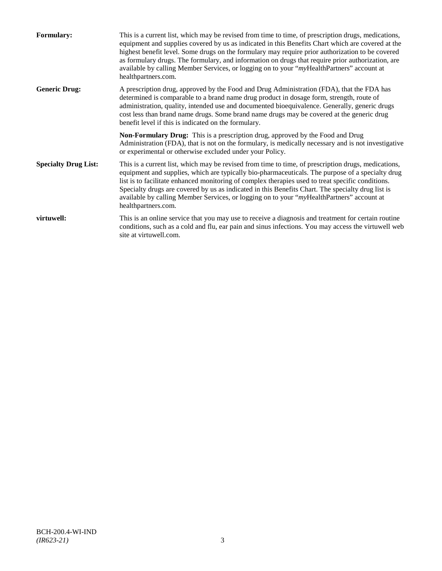| <b>Formulary:</b>           | This is a current list, which may be revised from time to time, of prescription drugs, medications,<br>equipment and supplies covered by us as indicated in this Benefits Chart which are covered at the<br>highest benefit level. Some drugs on the formulary may require prior authorization to be covered<br>as formulary drugs. The formulary, and information on drugs that require prior authorization, are<br>available by calling Member Services, or logging on to your "myHealthPartners" account at<br>healthpartners.com. |
|-----------------------------|---------------------------------------------------------------------------------------------------------------------------------------------------------------------------------------------------------------------------------------------------------------------------------------------------------------------------------------------------------------------------------------------------------------------------------------------------------------------------------------------------------------------------------------|
| <b>Generic Drug:</b>        | A prescription drug, approved by the Food and Drug Administration (FDA), that the FDA has<br>determined is comparable to a brand name drug product in dosage form, strength, route of<br>administration, quality, intended use and documented bioequivalence. Generally, generic drugs<br>cost less than brand name drugs. Some brand name drugs may be covered at the generic drug<br>benefit level if this is indicated on the formulary.                                                                                           |
|                             | <b>Non-Formulary Drug:</b> This is a prescription drug, approved by the Food and Drug<br>Administration (FDA), that is not on the formulary, is medically necessary and is not investigative<br>or experimental or otherwise excluded under your Policy.                                                                                                                                                                                                                                                                              |
| <b>Specialty Drug List:</b> | This is a current list, which may be revised from time to time, of prescription drugs, medications,<br>equipment and supplies, which are typically bio-pharmaceuticals. The purpose of a specialty drug<br>list is to facilitate enhanced monitoring of complex therapies used to treat specific conditions.<br>Specialty drugs are covered by us as indicated in this Benefits Chart. The specialty drug list is<br>available by calling Member Services, or logging on to your "myHealthPartners" account at<br>healthpartners.com. |
| virtuwell:                  | This is an online service that you may use to receive a diagnosis and treatment for certain routine<br>conditions, such as a cold and flu, ear pain and sinus infections. You may access the virtuwell web<br>site at virtuwell.com.                                                                                                                                                                                                                                                                                                  |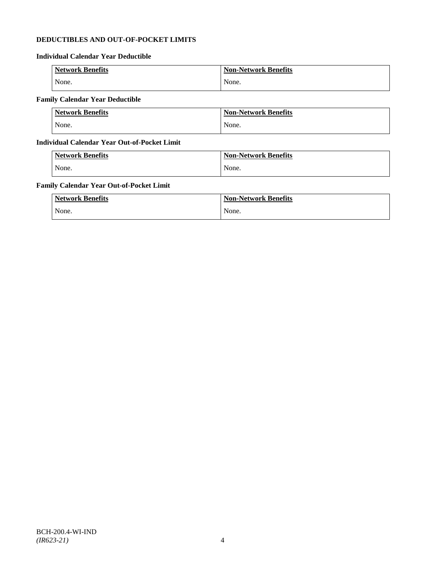# **DEDUCTIBLES AND OUT-OF-POCKET LIMITS**

# **Individual Calendar Year Deductible**

| <b>Network Benefits</b> | <b>Non-Network Benefits</b> |
|-------------------------|-----------------------------|
| None.                   | None.                       |

# **Family Calendar Year Deductible**

| <b>Network Benefits</b> | <b>Non-Network Benefits</b> |
|-------------------------|-----------------------------|
| None.                   | None.                       |

# **Individual Calendar Year Out-of-Pocket Limit**

| <b>Network Benefits</b> | <b>Non-Network Benefits</b> |
|-------------------------|-----------------------------|
| None.                   | None.                       |

# **Family Calendar Year Out-of-Pocket Limit**

| <b>Network Benefits</b> | <b>Non-Network Benefits</b> |
|-------------------------|-----------------------------|
| None.                   | None.                       |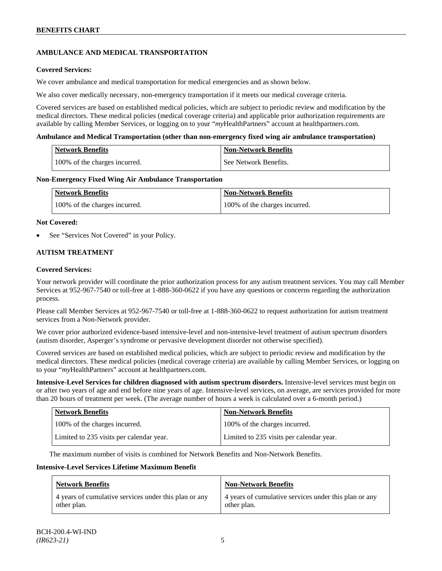# **AMBULANCE AND MEDICAL TRANSPORTATION**

### **Covered Services:**

We cover ambulance and medical transportation for medical emergencies and as shown below.

We also cover medically necessary, non-emergency transportation if it meets our medical coverage criteria.

Covered services are based on established medical policies, which are subject to periodic review and modification by the medical directors. These medical policies (medical coverage criteria) and applicable prior authorization requirements are available by calling Member Services, or logging on to your "*my*HealthPartners" account a[t healthpartners.com.](http://www.healthpartners.com/)

### **Ambulance and Medical Transportation (other than non-emergency fixed wing air ambulance transportation)**

| <b>Network Benefits</b> |                               | Non-Network Benefits  |
|-------------------------|-------------------------------|-----------------------|
|                         | 100% of the charges incurred. | See Network Benefits. |

### **Non-Emergency Fixed Wing Air Ambulance Transportation**

| <b>Network Benefits</b>       | <b>Non-Network Benefits</b>   |
|-------------------------------|-------------------------------|
| 100% of the charges incurred. | 100% of the charges incurred. |

### **Not Covered:**

See "Services Not Covered" in your Policy.

# **AUTISM TREATMENT**

### **Covered Services:**

Your network provider will coordinate the prior authorization process for any autism treatment services. You may call Member Services at 952-967-7540 or toll-free at 1-888-360-0622 if you have any questions or concerns regarding the authorization process.

Please call Member Services at 952-967-7540 or toll-free at 1-888-360-0622 to request authorization for autism treatment services from a Non-Network provider.

We cover prior authorized evidence-based intensive-level and non-intensive-level treatment of autism spectrum disorders (autism disorder, Asperger's syndrome or pervasive development disorder not otherwise specified).

Covered services are based on established medical policies, which are subject to periodic review and modification by the medical directors. These medical policies (medical coverage criteria) are available by calling Member Services, or logging on to your "*my*HealthPartners" account at [healthpartners.com.](http://www.healthpartners.com/)

**Intensive-Level Services for children diagnosed with autism spectrum disorders.** Intensive-level services must begin on or after two years of age and end before nine years of age. Intensive-level services, on average, are services provided for more than 20 hours of treatment per week. (The average number of hours a week is calculated over a 6-month period.)

| <b>Network Benefits</b>                  | <b>Non-Network Benefits</b>              |
|------------------------------------------|------------------------------------------|
| 100% of the charges incurred.            | 100% of the charges incurred.            |
| Limited to 235 visits per calendar year. | Limited to 235 visits per calendar year. |

The maximum number of visits is combined for Network Benefits and Non-Network Benefits.

#### **Intensive-Level Services Lifetime Maximum Benefit**

| <b>Network Benefits</b>                               | <b>Non-Network Benefits</b>                           |
|-------------------------------------------------------|-------------------------------------------------------|
| 4 years of cumulative services under this plan or any | 4 years of cumulative services under this plan or any |
| other plan.                                           | other plan.                                           |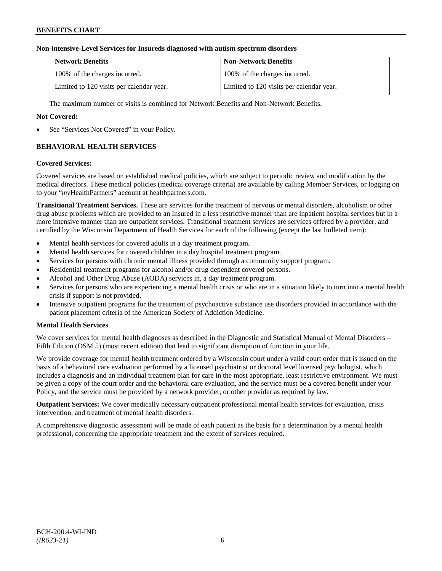# **Non-intensive-Level Services for Insureds diagnosed with autism spectrum disorders**

| Network Benefits                         | <b>Non-Network Benefits</b>              |
|------------------------------------------|------------------------------------------|
| 100% of the charges incurred.            | 100% of the charges incurred.            |
| Limited to 120 visits per calendar year. | Limited to 120 visits per calendar year. |

The maximum number of visits is combined for Network Benefits and Non-Network Benefits.

# **Not Covered:**

See "Services Not Covered" in your Policy.

# **BEHAVIORAL HEALTH SERVICES**

### **Covered Services:**

Covered services are based on established medical policies, which are subject to periodic review and modification by the medical directors. These medical policies (medical coverage criteria) are available by calling Member Services, or logging on to your "*my*HealthPartners" account at [healthpartners.com.](http://www.healthpartners.com/)

**Transitional Treatment Services.** These are services for the treatment of nervous or mental disorders, alcoholism or other drug abuse problems which are provided to an Insured in a less restrictive manner than are inpatient hospital services but in a more intensive manner than are outpatient services. Transitional treatment services are services offered by a provider, and certified by the Wisconsin Department of Health Services for each of the following (except the last bulleted item):

- Mental health services for covered adults in a day treatment program.
- Mental health services for covered children in a day hospital treatment program.
- Services for persons with chronic mental illness provided through a community support program.
- Residential treatment programs for alcohol and/or drug dependent covered persons.
- Alcohol and Other Drug Abuse (AODA) services in, a day treatment program.
- Services for persons who are experiencing a mental health crisis or who are in a situation likely to turn into a mental health crisis if support is not provided.
- Intensive outpatient programs for the treatment of psychoactive substance use disorders provided in accordance with the patient placement criteria of the American Society of Addiction Medicine.

# **Mental Health Services**

We cover services for mental health diagnoses as described in the Diagnostic and Statistical Manual of Mental Disorders – Fifth Edition (DSM 5) (most recent edition) that lead to significant disruption of function in your life.

We provide coverage for mental health treatment ordered by a Wisconsin court under a valid court order that is issued on the basis of a behavioral care evaluation performed by a licensed psychiatrist or doctoral level licensed psychologist, which includes a diagnosis and an individual treatment plan for care in the most appropriate, least restrictive environment. We must be given a copy of the court order and the behavioral care evaluation, and the service must be a covered benefit under your Policy, and the service must be provided by a network provider, or other provider as required by law.

**Outpatient Services:** We cover medically necessary outpatient professional mental health services for evaluation, crisis intervention, and treatment of mental health disorders.

A comprehensive diagnostic assessment will be made of each patient as the basis for a determination by a mental health professional, concerning the appropriate treatment and the extent of services required.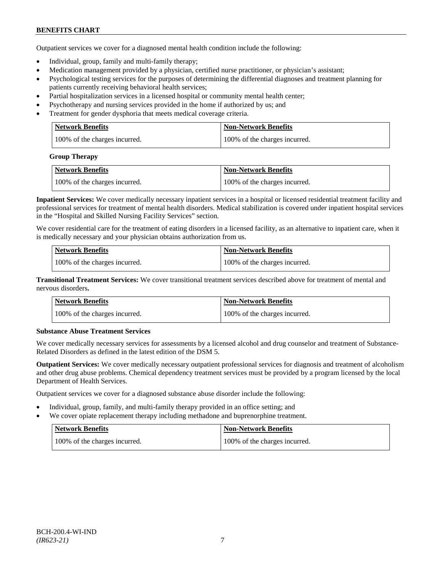Outpatient services we cover for a diagnosed mental health condition include the following:

- Individual, group, family and multi-family therapy;
- Medication management provided by a physician, certified nurse practitioner, or physician's assistant;
- Psychological testing services for the purposes of determining the differential diagnoses and treatment planning for patients currently receiving behavioral health services;
- Partial hospitalization services in a licensed hospital or community mental health center;
- Psychotherapy and nursing services provided in the home if authorized by us; and
- Treatment for gender dysphoria that meets medical coverage criteria.

| <b>Network Benefits</b>       | Non-Network Benefits          |
|-------------------------------|-------------------------------|
| 100% of the charges incurred. | 100% of the charges incurred. |

#### **Group Therapy**

| Network Benefits              | <b>Non-Network Benefits</b>   |
|-------------------------------|-------------------------------|
| 100% of the charges incurred. | 100% of the charges incurred. |

**Inpatient Services:** We cover medically necessary inpatient services in a hospital or licensed residential treatment facility and professional services for treatment of mental health disorders. Medical stabilization is covered under inpatient hospital services in the "Hospital and Skilled Nursing Facility Services" section.

We cover residential care for the treatment of eating disorders in a licensed facility, as an alternative to inpatient care, when it is medically necessary and your physician obtains authorization from us.

| <b>Network Benefits</b>       | <b>Non-Network Benefits</b>   |
|-------------------------------|-------------------------------|
| 100% of the charges incurred. | 100% of the charges incurred. |

**Transitional Treatment Services:** We cover transitional treatment services described above for treatment of mental and nervous disorders**.**

| <b>Network Benefits</b>       | <b>Non-Network Benefits</b>   |
|-------------------------------|-------------------------------|
| 100% of the charges incurred. | 100% of the charges incurred. |

# **Substance Abuse Treatment Services**

We cover medically necessary services for assessments by a licensed alcohol and drug counselor and treatment of Substance-Related Disorders as defined in the latest edition of the DSM 5.

**Outpatient Services:** We cover medically necessary outpatient professional services for diagnosis and treatment of alcoholism and other drug abuse problems. Chemical dependency treatment services must be provided by a program licensed by the local Department of Health Services.

Outpatient services we cover for a diagnosed substance abuse disorder include the following:

- Individual, group, family, and multi-family therapy provided in an office setting; and
- We cover opiate replacement therapy including methadone and buprenorphine treatment.

| Network Benefits              | <b>Non-Network Benefits</b>   |
|-------------------------------|-------------------------------|
| 100% of the charges incurred. | 100% of the charges incurred. |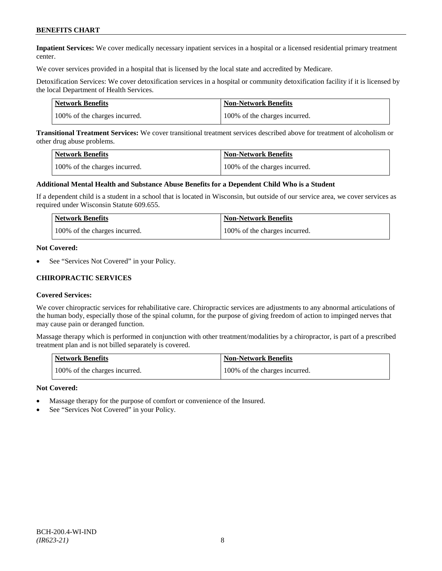**Inpatient Services:** We cover medically necessary inpatient services in a hospital or a licensed residential primary treatment center.

We cover services provided in a hospital that is licensed by the local state and accredited by Medicare.

Detoxification Services: We cover detoxification services in a hospital or community detoxification facility if it is licensed by the local Department of Health Services.

| <b>Network Benefits</b>       | <b>Non-Network Benefits</b>   |
|-------------------------------|-------------------------------|
| 100% of the charges incurred. | 100% of the charges incurred. |

**Transitional Treatment Services:** We cover transitional treatment services described above for treatment of alcoholism or other drug abuse problems.

| <b>Network Benefits</b>       | <b>Non-Network Benefits</b>   |
|-------------------------------|-------------------------------|
| 100% of the charges incurred. | 100% of the charges incurred. |

#### **Additional Mental Health and Substance Abuse Benefits for a Dependent Child Who is a Student**

If a dependent child is a student in a school that is located in Wisconsin, but outside of our service area, we cover services as required under Wisconsin Statute 609.655.

| Network Benefits              | <b>Non-Network Benefits</b>   |
|-------------------------------|-------------------------------|
| 100% of the charges incurred. | 100% of the charges incurred. |

#### **Not Covered:**

See "Services Not Covered" in your Policy.

### **CHIROPRACTIC SERVICES**

#### **Covered Services:**

We cover chiropractic services for rehabilitative care. Chiropractic services are adjustments to any abnormal articulations of the human body, especially those of the spinal column, for the purpose of giving freedom of action to impinged nerves that may cause pain or deranged function.

Massage therapy which is performed in conjunction with other treatment/modalities by a chiropractor, is part of a prescribed treatment plan and is not billed separately is covered.

| <b>Network Benefits</b>       | <b>Non-Network Benefits</b>   |
|-------------------------------|-------------------------------|
| 100% of the charges incurred. | 100% of the charges incurred. |

#### **Not Covered:**

- Massage therapy for the purpose of comfort or convenience of the Insured.
- See "Services Not Covered" in your Policy.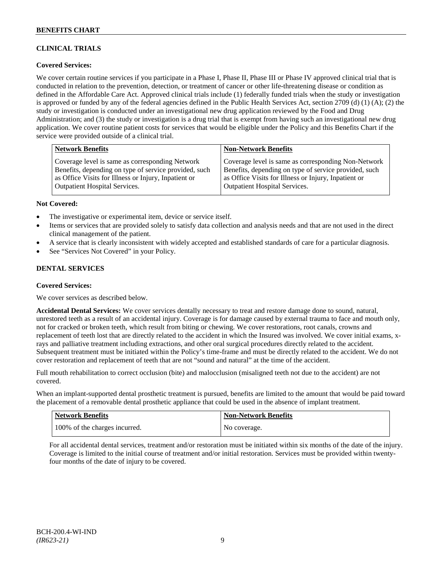# **CLINICAL TRIALS**

# **Covered Services:**

We cover certain routine services if you participate in a Phase I, Phase II, Phase III or Phase IV approved clinical trial that is conducted in relation to the prevention, detection, or treatment of cancer or other life-threatening disease or condition as defined in the Affordable Care Act. Approved clinical trials include (1) federally funded trials when the study or investigation is approved or funded by any of the federal agencies defined in the Public Health Services Act, section 2709 (d) (1) (A); (2) the study or investigation is conducted under an investigational new drug application reviewed by the Food and Drug Administration; and (3) the study or investigation is a drug trial that is exempt from having such an investigational new drug application. We cover routine patient costs for services that would be eligible under the Policy and this Benefits Chart if the service were provided outside of a clinical trial.

| <b>Network Benefits</b>                               | <b>Non-Network Benefits</b>                           |
|-------------------------------------------------------|-------------------------------------------------------|
| Coverage level is same as corresponding Network       | Coverage level is same as corresponding Non-Network   |
| Benefits, depending on type of service provided, such | Benefits, depending on type of service provided, such |
| as Office Visits for Illness or Injury, Inpatient or  | as Office Visits for Illness or Injury, Inpatient or  |
| Outpatient Hospital Services.                         | <b>Outpatient Hospital Services.</b>                  |

### **Not Covered:**

- The investigative or experimental item, device or service itself.
- Items or services that are provided solely to satisfy data collection and analysis needs and that are not used in the direct clinical management of the patient.
- A service that is clearly inconsistent with widely accepted and established standards of care for a particular diagnosis.
- See "Services Not Covered" in your Policy.

# **DENTAL SERVICES**

#### **Covered Services:**

We cover services as described below.

**Accidental Dental Services:** We cover services dentally necessary to treat and restore damage done to sound, natural, unrestored teeth as a result of an accidental injury. Coverage is for damage caused by external trauma to face and mouth only, not for cracked or broken teeth, which result from biting or chewing. We cover restorations, root canals, crowns and replacement of teeth lost that are directly related to the accident in which the Insured was involved. We cover initial exams, xrays and palliative treatment including extractions, and other oral surgical procedures directly related to the accident. Subsequent treatment must be initiated within the Policy's time-frame and must be directly related to the accident. We do not cover restoration and replacement of teeth that are not "sound and natural" at the time of the accident.

Full mouth rehabilitation to correct occlusion (bite) and malocclusion (misaligned teeth not due to the accident) are not covered.

When an implant-supported dental prosthetic treatment is pursued, benefits are limited to the amount that would be paid toward the placement of a removable dental prosthetic appliance that could be used in the absence of implant treatment.

| <b>Network Benefits</b>       | <b>Non-Network Benefits</b> |
|-------------------------------|-----------------------------|
| 100% of the charges incurred. | No coverage.                |

For all accidental dental services, treatment and/or restoration must be initiated within six months of the date of the injury. Coverage is limited to the initial course of treatment and/or initial restoration. Services must be provided within twentyfour months of the date of injury to be covered.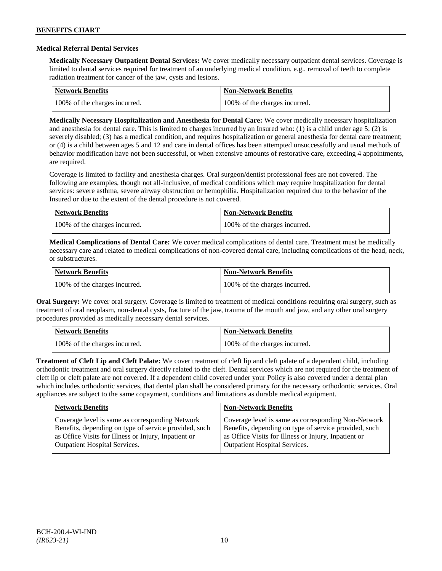### **Medical Referral Dental Services**

**Medically Necessary Outpatient Dental Services:** We cover medically necessary outpatient dental services. Coverage is limited to dental services required for treatment of an underlying medical condition, e.g., removal of teeth to complete radiation treatment for cancer of the jaw, cysts and lesions.

| Network Benefits              | Non-Network Benefits          |
|-------------------------------|-------------------------------|
| 100% of the charges incurred. | 100% of the charges incurred. |

**Medically Necessary Hospitalization and Anesthesia for Dental Care:** We cover medically necessary hospitalization and anesthesia for dental care. This is limited to charges incurred by an Insured who: (1) is a child under age 5; (2) is severely disabled; (3) has a medical condition, and requires hospitalization or general anesthesia for dental care treatment; or (4) is a child between ages 5 and 12 and care in dental offices has been attempted unsuccessfully and usual methods of behavior modification have not been successful, or when extensive amounts of restorative care, exceeding 4 appointments, are required.

Coverage is limited to facility and anesthesia charges. Oral surgeon/dentist professional fees are not covered. The following are examples, though not all-inclusive, of medical conditions which may require hospitalization for dental services: severe asthma, severe airway obstruction or hemophilia. Hospitalization required due to the behavior of the Insured or due to the extent of the dental procedure is not covered.

| Network Benefits              | <b>Non-Network Benefits</b>   |
|-------------------------------|-------------------------------|
| 100% of the charges incurred. | 100% of the charges incurred. |

**Medical Complications of Dental Care:** We cover medical complications of dental care. Treatment must be medically necessary care and related to medical complications of non-covered dental care, including complications of the head, neck, or substructures.

| Network Benefits              | <b>Non-Network Benefits</b>   |
|-------------------------------|-------------------------------|
| 100% of the charges incurred. | 100% of the charges incurred. |

**Oral Surgery:** We cover oral surgery. Coverage is limited to treatment of medical conditions requiring oral surgery, such as treatment of oral neoplasm, non-dental cysts, fracture of the jaw, trauma of the mouth and jaw, and any other oral surgery procedures provided as medically necessary dental services.

| Network Benefits              | <b>Non-Network Benefits</b>   |
|-------------------------------|-------------------------------|
| 100% of the charges incurred. | 100% of the charges incurred. |

**Treatment of Cleft Lip and Cleft Palate:** We cover treatment of cleft lip and cleft palate of a dependent child, including orthodontic treatment and oral surgery directly related to the cleft. Dental services which are not required for the treatment of cleft lip or cleft palate are not covered. If a dependent child covered under your Policy is also covered under a dental plan which includes orthodontic services, that dental plan shall be considered primary for the necessary orthodontic services. Oral appliances are subject to the same copayment, conditions and limitations as durable medical equipment.

| <b>Network Benefits</b>                               | <b>Non-Network Benefits</b>                           |
|-------------------------------------------------------|-------------------------------------------------------|
| Coverage level is same as corresponding Network       | Coverage level is same as corresponding Non-Network   |
| Benefits, depending on type of service provided, such | Benefits, depending on type of service provided, such |
| as Office Visits for Illness or Injury, Inpatient or  | as Office Visits for Illness or Injury, Inpatient or  |
| <b>Outpatient Hospital Services.</b>                  | <b>Outpatient Hospital Services.</b>                  |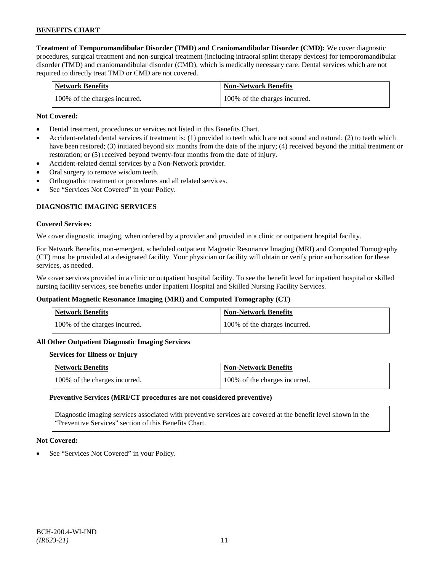**Treatment of Temporomandibular Disorder (TMD) and Craniomandibular Disorder (CMD):** We cover diagnostic procedures, surgical treatment and non-surgical treatment (including intraoral splint therapy devices) for temporomandibular disorder (TMD) and craniomandibular disorder (CMD), which is medically necessary care. Dental services which are not required to directly treat TMD or CMD are not covered.

| <b>Network Benefits</b>       | <b>Non-Network Benefits</b>   |
|-------------------------------|-------------------------------|
| 100% of the charges incurred. | 100% of the charges incurred. |

### **Not Covered:**

- Dental treatment, procedures or services not listed in this Benefits Chart.
- Accident-related dental services if treatment is: (1) provided to teeth which are not sound and natural; (2) to teeth which have been restored; (3) initiated beyond six months from the date of the injury; (4) received beyond the initial treatment or restoration; or (5) received beyond twenty-four months from the date of injury.
- Accident-related dental services by a Non-Network provider.
- Oral surgery to remove wisdom teeth.
- Orthognathic treatment or procedures and all related services.
- See "Services Not Covered" in your Policy.

# **DIAGNOSTIC IMAGING SERVICES**

#### **Covered Services:**

We cover diagnostic imaging, when ordered by a provider and provided in a clinic or outpatient hospital facility.

For Network Benefits, non-emergent, scheduled outpatient Magnetic Resonance Imaging (MRI) and Computed Tomography (CT) must be provided at a designated facility. Your physician or facility will obtain or verify prior authorization for these services, as needed.

We cover services provided in a clinic or outpatient hospital facility. To see the benefit level for inpatient hospital or skilled nursing facility services, see benefits under Inpatient Hospital and Skilled Nursing Facility Services.

#### **Outpatient Magnetic Resonance Imaging (MRI) and Computed Tomography (CT)**

| <b>Network Benefits</b>       | <b>Non-Network Benefits</b>   |
|-------------------------------|-------------------------------|
| 100% of the charges incurred. | 100% of the charges incurred. |

#### **All Other Outpatient Diagnostic Imaging Services**

#### **Services for Illness or Injury**

| Network Benefits              | <b>Non-Network Benefits</b>   |
|-------------------------------|-------------------------------|
| 100% of the charges incurred. | 100% of the charges incurred. |

#### **Preventive Services (MRI/CT procedures are not considered preventive)**

Diagnostic imaging services associated with preventive services are covered at the benefit level shown in the "Preventive Services" section of this Benefits Chart.

#### **Not Covered:**

See "Services Not Covered" in your Policy.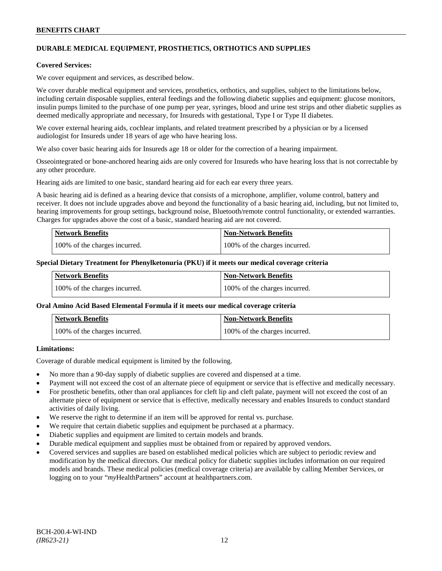# **DURABLE MEDICAL EQUIPMENT, PROSTHETICS, ORTHOTICS AND SUPPLIES**

#### **Covered Services:**

We cover equipment and services, as described below.

We cover durable medical equipment and services, prosthetics, orthotics, and supplies, subject to the limitations below, including certain disposable supplies, enteral feedings and the following diabetic supplies and equipment: glucose monitors, insulin pumps limited to the purchase of one pump per year, syringes, blood and urine test strips and other diabetic supplies as deemed medically appropriate and necessary, for Insureds with gestational, Type I or Type II diabetes.

We cover external hearing aids, cochlear implants, and related treatment prescribed by a physician or by a licensed audiologist for Insureds under 18 years of age who have hearing loss.

We also cover basic hearing aids for Insureds age 18 or older for the correction of a hearing impairment.

Osseointegrated or bone-anchored hearing aids are only covered for Insureds who have hearing loss that is not correctable by any other procedure.

Hearing aids are limited to one basic, standard hearing aid for each ear every three years.

A basic hearing aid is defined as a hearing device that consists of a microphone, amplifier, volume control, battery and receiver. It does not include upgrades above and beyond the functionality of a basic hearing aid, including, but not limited to, hearing improvements for group settings, background noise, Bluetooth/remote control functionality, or extended warranties. Charges for upgrades above the cost of a basic, standard hearing aid are not covered.

| <b>Network Benefits</b>       | <b>Non-Network Benefits</b>   |
|-------------------------------|-------------------------------|
| 100% of the charges incurred. | 100% of the charges incurred. |

#### **Special Dietary Treatment for Phenylketonuria (PKU) if it meets our medical coverage criteria**

| <b>Network Benefits</b>       | <b>Non-Network Benefits</b>   |
|-------------------------------|-------------------------------|
| 100% of the charges incurred. | 100% of the charges incurred. |

#### **Oral Amino Acid Based Elemental Formula if it meets our medical coverage criteria**

| <b>Network Benefits</b>       | <b>Non-Network Benefits</b>   |
|-------------------------------|-------------------------------|
| 100% of the charges incurred. | 100% of the charges incurred. |

# **Limitations:**

Coverage of durable medical equipment is limited by the following.

- No more than a 90-day supply of diabetic supplies are covered and dispensed at a time.
- Payment will not exceed the cost of an alternate piece of equipment or service that is effective and medically necessary.
- For prosthetic benefits, other than oral appliances for cleft lip and cleft palate, payment will not exceed the cost of an alternate piece of equipment or service that is effective, medically necessary and enables Insureds to conduct standard activities of daily living.
- We reserve the right to determine if an item will be approved for rental vs. purchase.
- We require that certain diabetic supplies and equipment be purchased at a pharmacy.
- Diabetic supplies and equipment are limited to certain models and brands.
- Durable medical equipment and supplies must be obtained from or repaired by approved vendors.
- Covered services and supplies are based on established medical policies which are subject to periodic review and modification by the medical directors. Our medical policy for diabetic supplies includes information on our required models and brands. These medical policies (medical coverage criteria) are available by calling Member Services, or logging on to your "*my*HealthPartners" account at [healthpartners.com.](http://www.healthpartners.com/)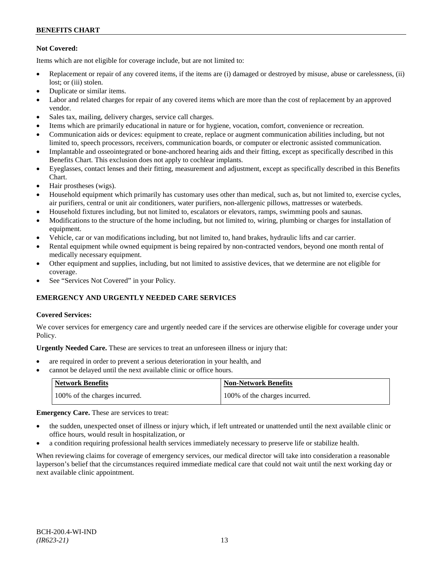# **Not Covered:**

Items which are not eligible for coverage include, but are not limited to:

- Replacement or repair of any covered items, if the items are (i) damaged or destroyed by misuse, abuse or carelessness, (ii) lost; or (iii) stolen.
- Duplicate or similar items.
- Labor and related charges for repair of any covered items which are more than the cost of replacement by an approved vendor.
- Sales tax, mailing, delivery charges, service call charges.
- Items which are primarily educational in nature or for hygiene, vocation, comfort, convenience or recreation.
- Communication aids or devices: equipment to create, replace or augment communication abilities including, but not limited to, speech processors, receivers, communication boards, or computer or electronic assisted communication.
- Implantable and osseointegrated or bone-anchored hearing aids and their fitting, except as specifically described in this Benefits Chart. This exclusion does not apply to cochlear implants.
- Eyeglasses, contact lenses and their fitting, measurement and adjustment, except as specifically described in this Benefits Chart.
- Hair prostheses (wigs).
- Household equipment which primarily has customary uses other than medical, such as, but not limited to, exercise cycles, air purifiers, central or unit air conditioners, water purifiers, non-allergenic pillows, mattresses or waterbeds.
- Household fixtures including, but not limited to, escalators or elevators, ramps, swimming pools and saunas.
- Modifications to the structure of the home including, but not limited to, wiring, plumbing or charges for installation of equipment.
- Vehicle, car or van modifications including, but not limited to, hand brakes, hydraulic lifts and car carrier.
- Rental equipment while owned equipment is being repaired by non-contracted vendors, beyond one month rental of medically necessary equipment.
- Other equipment and supplies, including, but not limited to assistive devices, that we determine are not eligible for coverage.
- See "Services Not Covered" in your Policy.

# **EMERGENCY AND URGENTLY NEEDED CARE SERVICES**

# **Covered Services:**

We cover services for emergency care and urgently needed care if the services are otherwise eligible for coverage under your Policy.

**Urgently Needed Care.** These are services to treat an unforeseen illness or injury that:

- are required in order to prevent a serious deterioration in your health, and
- cannot be delayed until the next available clinic or office hours.

| Network Benefits              | <b>Non-Network Benefits</b>   |
|-------------------------------|-------------------------------|
| 100% of the charges incurred. | 100% of the charges incurred. |

**Emergency Care.** These are services to treat:

- the sudden, unexpected onset of illness or injury which, if left untreated or unattended until the next available clinic or office hours, would result in hospitalization, or
- a condition requiring professional health services immediately necessary to preserve life or stabilize health.

When reviewing claims for coverage of emergency services, our medical director will take into consideration a reasonable layperson's belief that the circumstances required immediate medical care that could not wait until the next working day or next available clinic appointment.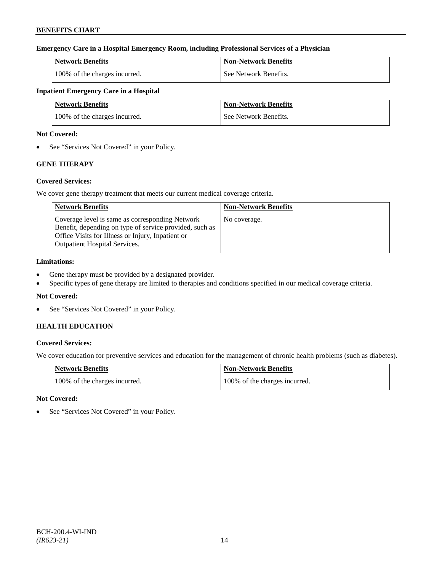# **Emergency Care in a Hospital Emergency Room, including Professional Services of a Physician**

| <b>Network Benefits</b>       | Non-Network Benefits  |
|-------------------------------|-----------------------|
| 100% of the charges incurred. | See Network Benefits. |

# **Inpatient Emergency Care in a Hospital**

| <b>Network Benefits</b>       | <b>Non-Network Benefits</b> |
|-------------------------------|-----------------------------|
| 100% of the charges incurred. | See Network Benefits.       |

### **Not Covered:**

• See "Services Not Covered" in your Policy.

# **GENE THERAPY**

# **Covered Services:**

We cover gene therapy treatment that meets our current medical coverage criteria.

| <b>Network Benefits</b>                                                                                                                                                                                 | <b>Non-Network Benefits</b> |
|---------------------------------------------------------------------------------------------------------------------------------------------------------------------------------------------------------|-----------------------------|
| Coverage level is same as corresponding Network<br>Benefit, depending on type of service provided, such as<br>Office Visits for Illness or Injury, Inpatient or<br><b>Outpatient Hospital Services.</b> | No coverage.                |

# **Limitations:**

- Gene therapy must be provided by a designated provider.
- Specific types of gene therapy are limited to therapies and conditions specified in our medical coverage criteria.

# **Not Covered:**

• See "Services Not Covered" in your Policy.

# **HEALTH EDUCATION**

# **Covered Services:**

We cover education for preventive services and education for the management of chronic health problems (such as diabetes).

| <b>Network Benefits</b>       | Non-Network Benefits          |
|-------------------------------|-------------------------------|
| 100% of the charges incurred. | 100% of the charges incurred. |

# **Not Covered:**

See "Services Not Covered" in your Policy.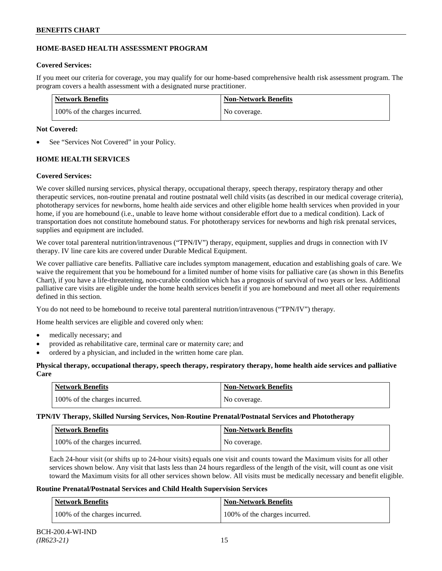# **HOME-BASED HEALTH ASSESSMENT PROGRAM**

# **Covered Services:**

If you meet our criteria for coverage, you may qualify for our home-based comprehensive health risk assessment program. The program covers a health assessment with a designated nurse practitioner.

| <b>Network Benefits</b>       | <b>Non-Network Benefits</b> |
|-------------------------------|-----------------------------|
| 100% of the charges incurred. | No coverage.                |

# **Not Covered:**

See "Services Not Covered" in your Policy.

# **HOME HEALTH SERVICES**

# **Covered Services:**

We cover skilled nursing services, physical therapy, occupational therapy, speech therapy, respiratory therapy and other therapeutic services, non-routine prenatal and routine postnatal well child visits (as described in our medical coverage criteria), phototherapy services for newborns, home health aide services and other eligible home health services when provided in your home, if you are homebound (i.e., unable to leave home without considerable effort due to a medical condition). Lack of transportation does not constitute homebound status. For phototherapy services for newborns and high risk prenatal services, supplies and equipment are included.

We cover total parenteral nutrition/intravenous ("TPN/IV") therapy, equipment, supplies and drugs in connection with IV therapy. IV line care kits are covered under Durable Medical Equipment.

We cover palliative care benefits. Palliative care includes symptom management, education and establishing goals of care. We waive the requirement that you be homebound for a limited number of home visits for palliative care (as shown in this Benefits Chart), if you have a life-threatening, non-curable condition which has a prognosis of survival of two years or less. Additional palliative care visits are eligible under the home health services benefit if you are homebound and meet all other requirements defined in this section.

You do not need to be homebound to receive total parenteral nutrition/intravenous ("TPN/IV") therapy.

Home health services are eligible and covered only when:

- medically necessary; and
- provided as rehabilitative care, terminal care or maternity care; and
- ordered by a physician, and included in the written home care plan.

# **Physical therapy, occupational therapy, speech therapy, respiratory therapy, home health aide services and palliative Care**

| Network Benefits              | <b>Non-Network Benefits</b> |
|-------------------------------|-----------------------------|
| 100% of the charges incurred. | No coverage.                |

**TPN/IV Therapy, Skilled Nursing Services, Non-Routine Prenatal/Postnatal Services and Phototherapy**

| <b>Network Benefits</b>       | <b>Non-Network Benefits</b> |
|-------------------------------|-----------------------------|
| 100% of the charges incurred. | No coverage.                |

Each 24-hour visit (or shifts up to 24-hour visits) equals one visit and counts toward the Maximum visits for all other services shown below. Any visit that lasts less than 24 hours regardless of the length of the visit, will count as one visit toward the Maximum visits for all other services shown below. All visits must be medically necessary and benefit eligible.

# **Routine Prenatal/Postnatal Services and Child Health Supervision Services**

| <b>Network Benefits</b>       | <b>Non-Network Benefits</b>   |
|-------------------------------|-------------------------------|
| 100% of the charges incurred. | 100% of the charges incurred. |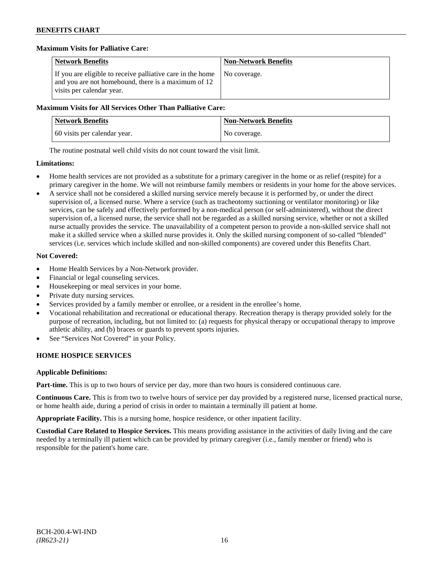# **Maximum Visits for Palliative Care:**

| <b>Network Benefits</b>                                                                                                                        | <b>Non-Network Benefits</b> |
|------------------------------------------------------------------------------------------------------------------------------------------------|-----------------------------|
| If you are eligible to receive palliative care in the home<br>and you are not homebound, there is a maximum of 12<br>visits per calendar year. | No coverage.                |

### **Maximum Visits for All Services Other Than Palliative Care:**

| <b>Network Benefits</b>      | <b>Non-Network Benefits</b> |
|------------------------------|-----------------------------|
| 60 visits per calendar year. | No coverage.                |

The routine postnatal well child visits do not count toward the visit limit.

### **Limitations:**

- Home health services are not provided as a substitute for a primary caregiver in the home or as relief (respite) for a primary caregiver in the home. We will not reimburse family members or residents in your home for the above services.
- A service shall not be considered a skilled nursing service merely because it is performed by, or under the direct supervision of, a licensed nurse. Where a service (such as tracheotomy suctioning or ventilator monitoring) or like services, can be safely and effectively performed by a non-medical person (or self-administered), without the direct supervision of, a licensed nurse, the service shall not be regarded as a skilled nursing service, whether or not a skilled nurse actually provides the service. The unavailability of a competent person to provide a non-skilled service shall not make it a skilled service when a skilled nurse provides it. Only the skilled nursing component of so-called "blended" services (i.e. services which include skilled and non-skilled components) are covered under this Benefits Chart.

# **Not Covered:**

- Home Health Services by a Non-Network provider.
- Financial or legal counseling services.
- Housekeeping or meal services in your home.
- Private duty nursing services.
- Services provided by a family member or enrollee, or a resident in the enrollee's home.
- Vocational rehabilitation and recreational or educational therapy. Recreation therapy is therapy provided solely for the purpose of recreation, including, but not limited to: (a) requests for physical therapy or occupational therapy to improve athletic ability, and (b) braces or guards to prevent sports injuries.
- See "Services Not Covered" in your Policy.

# **HOME HOSPICE SERVICES**

# **Applicable Definitions:**

**Part-time.** This is up to two hours of service per day, more than two hours is considered continuous care.

**Continuous Care.** This is from two to twelve hours of service per day provided by a registered nurse, licensed practical nurse, or home health aide, during a period of crisis in order to maintain a terminally ill patient at home.

**Appropriate Facility.** This is a nursing home, hospice residence, or other inpatient facility.

**Custodial Care Related to Hospice Services.** This means providing assistance in the activities of daily living and the care needed by a terminally ill patient which can be provided by primary caregiver (i.e., family member or friend) who is responsible for the patient's home care.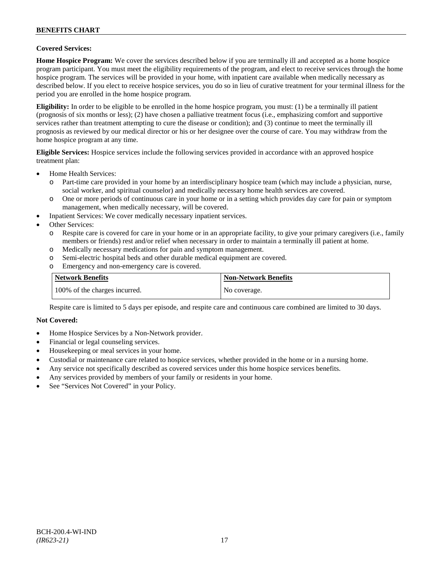### **Covered Services:**

**Home Hospice Program:** We cover the services described below if you are terminally ill and accepted as a home hospice program participant. You must meet the eligibility requirements of the program, and elect to receive services through the home hospice program. The services will be provided in your home, with inpatient care available when medically necessary as described below. If you elect to receive hospice services, you do so in lieu of curative treatment for your terminal illness for the period you are enrolled in the home hospice program.

**Eligibility:** In order to be eligible to be enrolled in the home hospice program, you must: (1) be a terminally ill patient (prognosis of six months or less); (2) have chosen a palliative treatment focus (i.e., emphasizing comfort and supportive services rather than treatment attempting to cure the disease or condition); and (3) continue to meet the terminally ill prognosis as reviewed by our medical director or his or her designee over the course of care. You may withdraw from the home hospice program at any time.

**Eligible Services:** Hospice services include the following services provided in accordance with an approved hospice treatment plan:

- Home Health Services:
	- o Part-time care provided in your home by an interdisciplinary hospice team (which may include a physician, nurse, social worker, and spiritual counselor) and medically necessary home health services are covered.
	- o One or more periods of continuous care in your home or in a setting which provides day care for pain or symptom management, when medically necessary, will be covered.
- Inpatient Services: We cover medically necessary inpatient services.
- Other Services:
	- o Respite care is covered for care in your home or in an appropriate facility, to give your primary caregivers (i.e., family members or friends) rest and/or relief when necessary in order to maintain a terminally ill patient at home*.*
	- o Medically necessary medications for pain and symptom management.
	- o Semi-electric hospital beds and other durable medical equipment are covered.
	- o Emergency and non-emergency care is covered.

| Network Benefits              | <b>Non-Network Benefits</b> |
|-------------------------------|-----------------------------|
| 100% of the charges incurred. | No coverage.                |

Respite care is limited to 5 days per episode, and respite care and continuous care combined are limited to 30 days.

#### **Not Covered:**

- Home Hospice Services by a Non-Network provider.
- Financial or legal counseling services.
- Housekeeping or meal services in your home.
- Custodial or maintenance care related to hospice services, whether provided in the home or in a nursing home.
- Any service not specifically described as covered services under this home hospice services benefits.
- Any services provided by members of your family or residents in your home.
- See "Services Not Covered" in your Policy.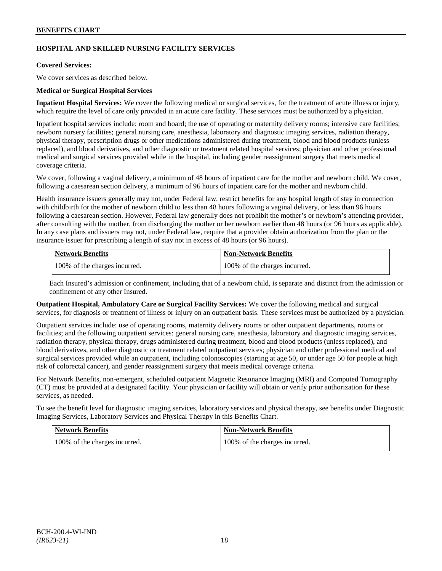# **HOSPITAL AND SKILLED NURSING FACILITY SERVICES**

# **Covered Services:**

We cover services as described below.

# **Medical or Surgical Hospital Services**

**Inpatient Hospital Services:** We cover the following medical or surgical services, for the treatment of acute illness or injury, which require the level of care only provided in an acute care facility. These services must be authorized by a physician.

Inpatient hospital services include: room and board; the use of operating or maternity delivery rooms; intensive care facilities; newborn nursery facilities; general nursing care, anesthesia, laboratory and diagnostic imaging services, radiation therapy, physical therapy, prescription drugs or other medications administered during treatment, blood and blood products (unless replaced), and blood derivatives, and other diagnostic or treatment related hospital services; physician and other professional medical and surgical services provided while in the hospital, including gender reassignment surgery that meets medical coverage criteria.

We cover, following a vaginal delivery, a minimum of 48 hours of inpatient care for the mother and newborn child. We cover, following a caesarean section delivery, a minimum of 96 hours of inpatient care for the mother and newborn child.

Health insurance issuers generally may not, under Federal law, restrict benefits for any hospital length of stay in connection with childbirth for the mother of newborn child to less than 48 hours following a vaginal delivery, or less than 96 hours following a caesarean section. However, Federal law generally does not prohibit the mother's or newborn's attending provider, after consulting with the mother, from discharging the mother or her newborn earlier than 48 hours (or 96 hours as applicable). In any case plans and issuers may not, under Federal law, require that a provider obtain authorization from the plan or the insurance issuer for prescribing a length of stay not in excess of 48 hours (or 96 hours).

| <b>Network Benefits</b>       | Non-Network Benefits          |
|-------------------------------|-------------------------------|
| 100% of the charges incurred. | 100% of the charges incurred. |

Each Insured's admission or confinement, including that of a newborn child, is separate and distinct from the admission or confinement of any other Insured.

**Outpatient Hospital, Ambulatory Care or Surgical Facility Services:** We cover the following medical and surgical services, for diagnosis or treatment of illness or injury on an outpatient basis. These services must be authorized by a physician.

Outpatient services include: use of operating rooms, maternity delivery rooms or other outpatient departments, rooms or facilities; and the following outpatient services: general nursing care, anesthesia, laboratory and diagnostic imaging services, radiation therapy, physical therapy, drugs administered during treatment, blood and blood products (unless replaced), and blood derivatives, and other diagnostic or treatment related outpatient services; physician and other professional medical and surgical services provided while an outpatient, including colonoscopies (starting at age 50, or under age 50 for people at high risk of colorectal cancer), and gender reassignment surgery that meets medical coverage criteria.

For Network Benefits, non-emergent, scheduled outpatient Magnetic Resonance Imaging (MRI) and Computed Tomography (CT) must be provided at a designated facility. Your physician or facility will obtain or verify prior authorization for these services, as needed.

To see the benefit level for diagnostic imaging services, laboratory services and physical therapy, see benefits under Diagnostic Imaging Services, Laboratory Services and Physical Therapy in this Benefits Chart.

| <b>Network Benefits</b>       | Non-Network Benefits          |
|-------------------------------|-------------------------------|
| 100% of the charges incurred. | 100% of the charges incurred. |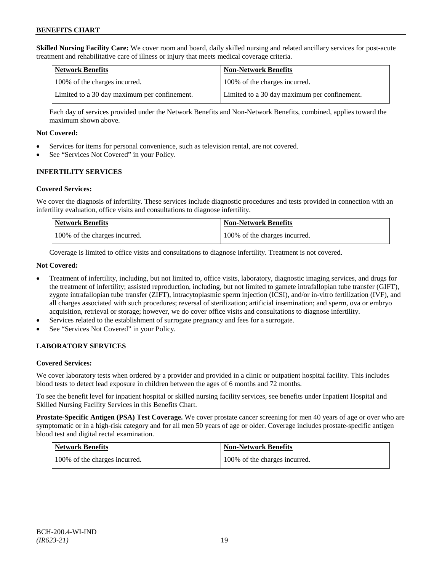**Skilled Nursing Facility Care:** We cover room and board, daily skilled nursing and related ancillary services for post-acute treatment and rehabilitative care of illness or injury that meets medical coverage criteria.

| Network Benefits                             | <b>Non-Network Benefits</b>                  |
|----------------------------------------------|----------------------------------------------|
| 100% of the charges incurred.                | 100% of the charges incurred.                |
| Limited to a 30 day maximum per confinement. | Limited to a 30 day maximum per confinement. |

Each day of services provided under the Network Benefits and Non-Network Benefits, combined, applies toward the maximum shown above.

### **Not Covered:**

- Services for items for personal convenience, such as television rental, are not covered.
- See "Services Not Covered" in your Policy.

# **INFERTILITY SERVICES**

### **Covered Services:**

We cover the diagnosis of infertility. These services include diagnostic procedures and tests provided in connection with an infertility evaluation, office visits and consultations to diagnose infertility.

| <b>Network Benefits</b>       | Non-Network Benefits          |
|-------------------------------|-------------------------------|
| 100% of the charges incurred. | 100% of the charges incurred. |

Coverage is limited to office visits and consultations to diagnose infertility. Treatment is not covered.

### **Not Covered:**

- Treatment of infertility, including, but not limited to, office visits, laboratory, diagnostic imaging services, and drugs for the treatment of infertility; assisted reproduction, including, but not limited to gamete intrafallopian tube transfer (GIFT), zygote intrafallopian tube transfer (ZIFT), intracytoplasmic sperm injection (ICSI), and/or in-vitro fertilization (IVF), and all charges associated with such procedures; reversal of sterilization; artificial insemination; and sperm, ova or embryo acquisition, retrieval or storage; however, we do cover office visits and consultations to diagnose infertility.
- Services related to the establishment of surrogate pregnancy and fees for a surrogate.
- See "Services Not Covered" in your Policy.

# **LABORATORY SERVICES**

#### **Covered Services:**

We cover laboratory tests when ordered by a provider and provided in a clinic or outpatient hospital facility. This includes blood tests to detect lead exposure in children between the ages of 6 months and 72 months.

To see the benefit level for inpatient hospital or skilled nursing facility services, see benefits under Inpatient Hospital and Skilled Nursing Facility Services in this Benefits Chart.

**Prostate-Specific Antigen (PSA) Test Coverage.** We cover prostate cancer screening for men 40 years of age or over who are symptomatic or in a high-risk category and for all men 50 years of age or older. Coverage includes prostate-specific antigen blood test and digital rectal examination.

| Network Benefits              | Non-Network Benefits          |
|-------------------------------|-------------------------------|
| 100% of the charges incurred. | 100% of the charges incurred. |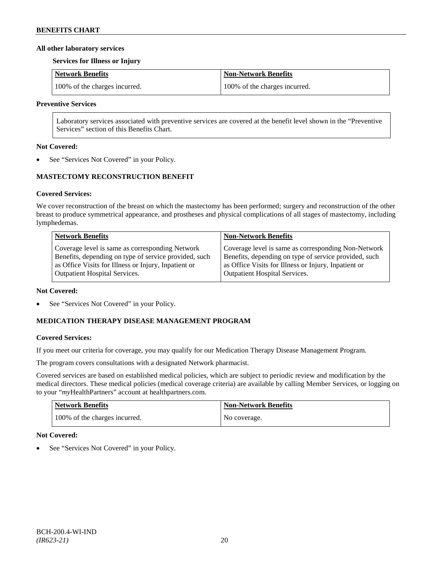### **All other laboratory services**

#### **Services for Illness or Injury**

| Network Benefits              | Non-Network Benefits          |
|-------------------------------|-------------------------------|
| 100% of the charges incurred. | 100% of the charges incurred. |

### **Preventive Services**

Laboratory services associated with preventive services are covered at the benefit level shown in the "Preventive Services" section of this Benefits Chart.

### **Not Covered:**

See "Services Not Covered" in your Policy.

# **MASTECTOMY RECONSTRUCTION BENEFIT**

# **Covered Services:**

We cover reconstruction of the breast on which the mastectomy has been performed; surgery and reconstruction of the other breast to produce symmetrical appearance, and prostheses and physical complications of all stages of mastectomy, including lymphedemas.

| <b>Network Benefits</b>                               | <b>Non-Network Benefits</b>                           |
|-------------------------------------------------------|-------------------------------------------------------|
| Coverage level is same as corresponding Network       | Coverage level is same as corresponding Non-Network   |
| Benefits, depending on type of service provided, such | Benefits, depending on type of service provided, such |
| as Office Visits for Illness or Injury, Inpatient or  | as Office Visits for Illness or Injury, Inpatient or  |
| Outpatient Hospital Services.                         | <b>Outpatient Hospital Services.</b>                  |

#### **Not Covered:**

See "Services Not Covered" in your Policy.

# **MEDICATION THERAPY DISEASE MANAGEMENT PROGRAM**

# **Covered Services:**

If you meet our criteria for coverage, you may qualify for our Medication Therapy Disease Management Program.

The program covers consultations with a designated Network pharmacist.

Covered services are based on established medical policies, which are subject to periodic review and modification by the medical directors. These medical policies (medical coverage criteria) are available by calling Member Services, or logging on to your "*my*HealthPartners" account at [healthpartners.com.](http://www.healthpartners.com/)

| <b>Network Benefits</b>       | <b>Non-Network Benefits</b> |
|-------------------------------|-----------------------------|
| 100% of the charges incurred. | No coverage.                |

# **Not Covered:**

See "Services Not Covered" in your Policy.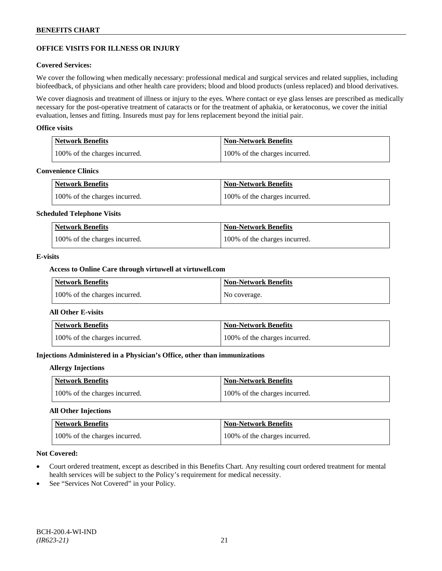# **OFFICE VISITS FOR ILLNESS OR INJURY**

### **Covered Services:**

We cover the following when medically necessary: professional medical and surgical services and related supplies, including biofeedback, of physicians and other health care providers; blood and blood products (unless replaced) and blood derivatives.

We cover diagnosis and treatment of illness or injury to the eyes. Where contact or eye glass lenses are prescribed as medically necessary for the post-operative treatment of cataracts or for the treatment of aphakia, or keratoconus, we cover the initial evaluation, lenses and fitting. Insureds must pay for lens replacement beyond the initial pair.

### **Office visits**

| Network Benefits              | <b>Non-Network Benefits</b>   |
|-------------------------------|-------------------------------|
| 100% of the charges incurred. | 100% of the charges incurred. |

#### **Convenience Clinics**

| <b>Network Benefits</b>       | <b>Non-Network Benefits</b>   |
|-------------------------------|-------------------------------|
| 100% of the charges incurred. | 100% of the charges incurred. |

#### **Scheduled Telephone Visits**

| <b>Network Benefits</b>       | <b>Non-Network Benefits</b>   |
|-------------------------------|-------------------------------|
| 100% of the charges incurred. | 100% of the charges incurred. |

### **E-visits**

### **Access to Online Care through virtuwell a[t virtuwell.com](http://www.virtuwell.com/)**

| <b>Network Benefits</b>       | <b>Non-Network Benefits</b> |
|-------------------------------|-----------------------------|
| 100% of the charges incurred. | No coverage.                |

#### **All Other E-visits**

| <b>Network Benefits</b>       | Non-Network Benefits          |
|-------------------------------|-------------------------------|
| 100% of the charges incurred. | 100% of the charges incurred. |

# **Injections Administered in a Physician's Office, other than immunizations**

#### **Allergy Injections**

| Network Benefits              | <b>Non-Network Benefits</b>   |
|-------------------------------|-------------------------------|
| 100% of the charges incurred. | 100% of the charges incurred. |

# **All Other Injections**

| Network Benefits              | <b>Non-Network Benefits</b>   |
|-------------------------------|-------------------------------|
| 100% of the charges incurred. | 100% of the charges incurred. |

### **Not Covered:**

- Court ordered treatment, except as described in this Benefits Chart. Any resulting court ordered treatment for mental health services will be subject to the Policy's requirement for medical necessity.
- See "Services Not Covered" in your Policy.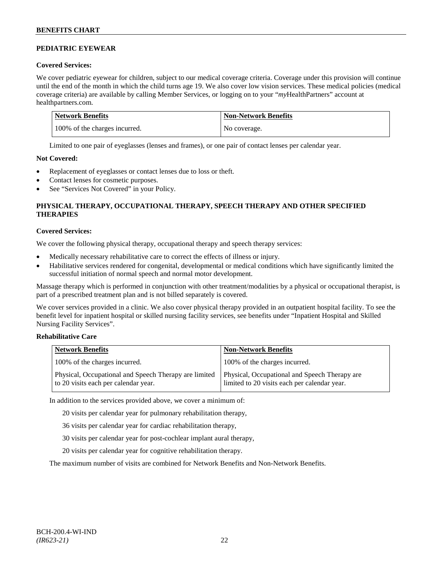# **PEDIATRIC EYEWEAR**

# **Covered Services:**

We cover pediatric eyewear for children, subject to our medical coverage criteria. Coverage under this provision will continue until the end of the month in which the child turns age 19. We also cover low vision services. These medical policies (medical coverage criteria) are available by calling Member Services, or logging on to your "*my*HealthPartners" account at [healthpartners.com.](http://www.healthpartners.com/)

| Network Benefits              | <b>Non-Network Benefits</b> |
|-------------------------------|-----------------------------|
| 100% of the charges incurred. | No coverage.                |

Limited to one pair of eyeglasses (lenses and frames), or one pair of contact lenses per calendar year.

# **Not Covered:**

- Replacement of eyeglasses or contact lenses due to loss or theft.
- Contact lenses for cosmetic purposes.
- See "Services Not Covered" in your Policy.

# **PHYSICAL THERAPY, OCCUPATIONAL THERAPY, SPEECH THERAPY AND OTHER SPECIFIED THERAPIES**

# **Covered Services:**

We cover the following physical therapy, occupational therapy and speech therapy services:

- Medically necessary rehabilitative care to correct the effects of illness or injury.
- Habilitative services rendered for congenital, developmental or medical conditions which have significantly limited the successful initiation of normal speech and normal motor development.

Massage therapy which is performed in conjunction with other treatment/modalities by a physical or occupational therapist, is part of a prescribed treatment plan and is not billed separately is covered.

We cover services provided in a clinic. We also cover physical therapy provided in an outpatient hospital facility. To see the benefit level for inpatient hospital or skilled nursing facility services, see benefits under "Inpatient Hospital and Skilled Nursing Facility Services".

# **Rehabilitative Care**

| <b>Network Benefits</b>                                                                       | <b>Non-Network Benefits</b>                                                                   |
|-----------------------------------------------------------------------------------------------|-----------------------------------------------------------------------------------------------|
| 100% of the charges incurred.                                                                 | 100% of the charges incurred.                                                                 |
| Physical, Occupational and Speech Therapy are limited<br>to 20 visits each per calendar year. | Physical, Occupational and Speech Therapy are<br>limited to 20 visits each per calendar year. |

In addition to the services provided above, we cover a minimum of:

20 visits per calendar year for pulmonary rehabilitation therapy,

- 36 visits per calendar year for cardiac rehabilitation therapy,
- 30 visits per calendar year for post-cochlear implant aural therapy,
- 20 visits per calendar year for cognitive rehabilitation therapy.

The maximum number of visits are combined for Network Benefits and Non-Network Benefits.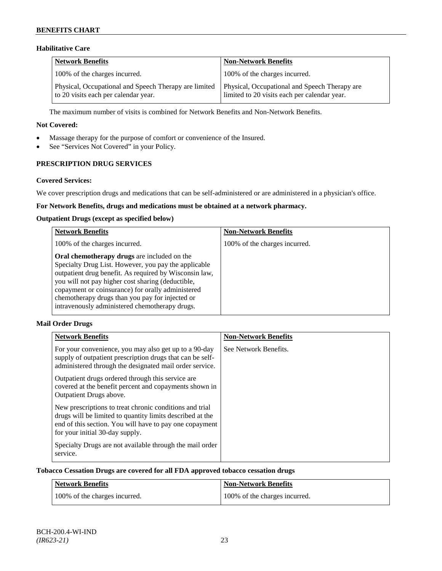# **Habilitative Care**

| <b>Network Benefits</b>                                                                       | <b>Non-Network Benefits</b>                                                                   |
|-----------------------------------------------------------------------------------------------|-----------------------------------------------------------------------------------------------|
| 100% of the charges incurred.                                                                 | 100% of the charges incurred.                                                                 |
| Physical, Occupational and Speech Therapy are limited<br>to 20 visits each per calendar year. | Physical, Occupational and Speech Therapy are<br>limited to 20 visits each per calendar year. |

The maximum number of visits is combined for Network Benefits and Non-Network Benefits.

### **Not Covered:**

- Massage therapy for the purpose of comfort or convenience of the Insured.
- See "Services Not Covered" in your Policy.

# **PRESCRIPTION DRUG SERVICES**

### **Covered Services:**

We cover prescription drugs and medications that can be self-administered or are administered in a physician's office.

# **For Network Benefits, drugs and medications must be obtained at a network pharmacy.**

### **Outpatient Drugs (except as specified below)**

| <b>Network Benefits</b>                                                                                                                                                                                                                                                                                                                                                      | <b>Non-Network Benefits</b>   |
|------------------------------------------------------------------------------------------------------------------------------------------------------------------------------------------------------------------------------------------------------------------------------------------------------------------------------------------------------------------------------|-------------------------------|
| 100% of the charges incurred.                                                                                                                                                                                                                                                                                                                                                | 100% of the charges incurred. |
| Oral chemotherapy drugs are included on the<br>Specialty Drug List. However, you pay the applicable<br>outpatient drug benefit. As required by Wisconsin law,<br>you will not pay higher cost sharing (deductible,<br>copayment or coinsurance) for orally administered<br>chemotherapy drugs than you pay for injected or<br>intravenously administered chemotherapy drugs. |                               |

# **Mail Order Drugs**

| <b>Network Benefits</b>                                                                                                                                                                                            | <b>Non-Network Benefits</b> |
|--------------------------------------------------------------------------------------------------------------------------------------------------------------------------------------------------------------------|-----------------------------|
| For your convenience, you may also get up to a 90-day<br>supply of outpatient prescription drugs that can be self-<br>administered through the designated mail order service.                                      | See Network Benefits.       |
| Outpatient drugs ordered through this service are.<br>covered at the benefit percent and copayments shown in<br>Outpatient Drugs above.                                                                            |                             |
| New prescriptions to treat chronic conditions and trial<br>drugs will be limited to quantity limits described at the<br>end of this section. You will have to pay one copayment<br>for your initial 30-day supply. |                             |
| Specialty Drugs are not available through the mail order<br>service.                                                                                                                                               |                             |

### **Tobacco Cessation Drugs are covered for all FDA approved tobacco cessation drugs**

| Network Benefits              | <b>Non-Network Benefits</b>   |
|-------------------------------|-------------------------------|
| 100% of the charges incurred. | 100% of the charges incurred. |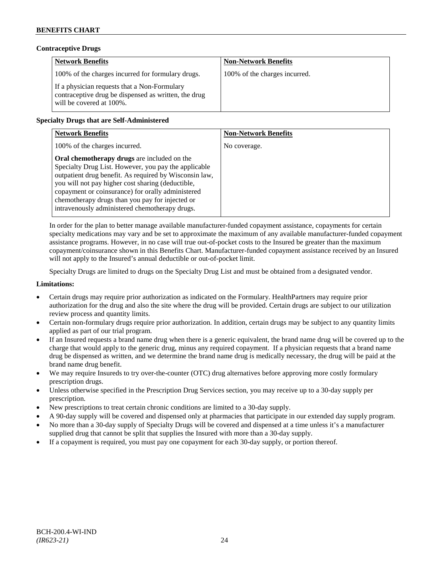### **Contraceptive Drugs**

| <b>Network Benefits</b>                                                                                                          | <b>Non-Network Benefits</b>   |
|----------------------------------------------------------------------------------------------------------------------------------|-------------------------------|
| 100% of the charges incurred for formulary drugs.                                                                                | 100% of the charges incurred. |
| If a physician requests that a Non-Formulary<br>contraceptive drug be dispensed as written, the drug<br>will be covered at 100%. |                               |

# **Specialty Drugs that are Self-Administered**

| <b>Network Benefits</b>                                                                                                                                                                                                                                                                                                                                                      | <b>Non-Network Benefits</b> |
|------------------------------------------------------------------------------------------------------------------------------------------------------------------------------------------------------------------------------------------------------------------------------------------------------------------------------------------------------------------------------|-----------------------------|
| 100% of the charges incurred.                                                                                                                                                                                                                                                                                                                                                | No coverage.                |
| Oral chemotherapy drugs are included on the<br>Specialty Drug List. However, you pay the applicable<br>outpatient drug benefit. As required by Wisconsin law,<br>you will not pay higher cost sharing (deductible,<br>copayment or coinsurance) for orally administered<br>chemotherapy drugs than you pay for injected or<br>intravenously administered chemotherapy drugs. |                             |

In order for the plan to better manage available manufacturer-funded copayment assistance, copayments for certain specialty medications may vary and be set to approximate the maximum of any available manufacturer-funded copayment assistance programs. However, in no case will true out-of-pocket costs to the Insured be greater than the maximum copayment/coinsurance shown in this Benefits Chart. Manufacturer-funded copayment assistance received by an Insured will not apply to the Insured's annual deductible or out-of-pocket limit.

Specialty Drugs are limited to drugs on the Specialty Drug List and must be obtained from a designated vendor.

### **Limitations:**

- Certain drugs may require prior authorization as indicated on the Formulary. HealthPartners may require prior authorization for the drug and also the site where the drug will be provided. Certain drugs are subject to our utilization review process and quantity limits.
- Certain non-formulary drugs require prior authorization. In addition, certain drugs may be subject to any quantity limits applied as part of our trial program.
- If an Insured requests a brand name drug when there is a generic equivalent, the brand name drug will be covered up to the charge that would apply to the generic drug, minus any required copayment. If a physician requests that a brand name drug be dispensed as written, and we determine the brand name drug is medically necessary, the drug will be paid at the brand name drug benefit.
- We may require Insureds to try over-the-counter (OTC) drug alternatives before approving more costly formulary prescription drugs.
- Unless otherwise specified in the Prescription Drug Services section, you may receive up to a 30-day supply per prescription.
- New prescriptions to treat certain chronic conditions are limited to a 30-day supply.
- A 90-day supply will be covered and dispensed only at pharmacies that participate in our extended day supply program.
- No more than a 30-day supply of Specialty Drugs will be covered and dispensed at a time unless it's a manufacturer supplied drug that cannot be split that supplies the Insured with more than a 30-day supply.
- If a copayment is required, you must pay one copayment for each 30-day supply, or portion thereof.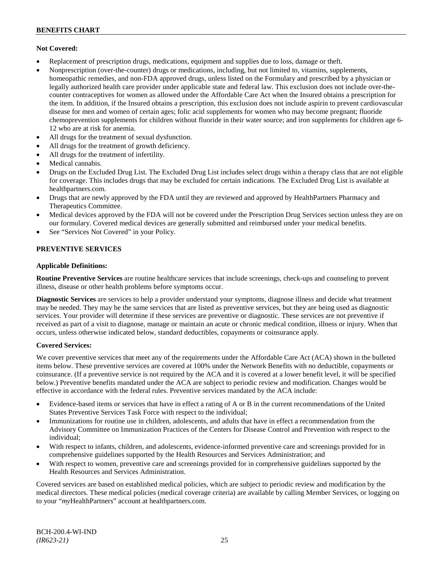### **Not Covered:**

- Replacement of prescription drugs, medications, equipment and supplies due to loss, damage or theft.
- Nonprescription (over-the-counter) drugs or medications, including, but not limited to, vitamins, supplements, homeopathic remedies, and non-FDA approved drugs, unless listed on the Formulary and prescribed by a physician or legally authorized health care provider under applicable state and federal law. This exclusion does not include over-thecounter contraceptives for women as allowed under the Affordable Care Act when the Insured obtains a prescription for the item. In addition, if the Insured obtains a prescription, this exclusion does not include aspirin to prevent cardiovascular disease for men and women of certain ages; folic acid supplements for women who may become pregnant; fluoride chemoprevention supplements for children without fluoride in their water source; and iron supplements for children age 6- 12 who are at risk for anemia.
- All drugs for the treatment of sexual dysfunction.
- All drugs for the treatment of growth deficiency.
- All drugs for the treatment of infertility.
- Medical cannabis.
- Drugs on the Excluded Drug List. The Excluded Drug List includes select drugs within a therapy class that are not eligible for coverage. This includes drugs that may be excluded for certain indications. The Excluded Drug List is available at [healthpartners.com.](http://www.healthpartners.com/)
- Drugs that are newly approved by the FDA until they are reviewed and approved by HealthPartners Pharmacy and Therapeutics Committee.
- Medical devices approved by the FDA will not be covered under the Prescription Drug Services section unless they are on our formulary. Covered medical devices are generally submitted and reimbursed under your medical benefits.
- See "Services Not Covered" in your Policy.

### **PREVENTIVE SERVICES**

### **Applicable Definitions:**

**Routine Preventive Services** are routine healthcare services that include screenings, check-ups and counseling to prevent illness, disease or other health problems before symptoms occur.

**Diagnostic Services** are services to help a provider understand your symptoms, diagnose illness and decide what treatment may be needed. They may be the same services that are listed as preventive services, but they are being used as diagnostic services. Your provider will determine if these services are preventive or diagnostic. These services are not preventive if received as part of a visit to diagnose, manage or maintain an acute or chronic medical condition, illness or injury. When that occurs, unless otherwise indicated below, standard deductibles, copayments or coinsurance apply.

#### **Covered Services:**

We cover preventive services that meet any of the requirements under the Affordable Care Act (ACA) shown in the bulleted items below. These preventive services are covered at 100% under the Network Benefits with no deductible, copayments or coinsurance. (If a preventive service is not required by the ACA and it is covered at a lower benefit level, it will be specified below.) Preventive benefits mandated under the ACA are subject to periodic review and modification. Changes would be effective in accordance with the federal rules. Preventive services mandated by the ACA include:

- Evidence-based items or services that have in effect a rating of A or B in the current recommendations of the United States Preventive Services Task Force with respect to the individual;
- Immunizations for routine use in children, adolescents, and adults that have in effect a recommendation from the Advisory Committee on Immunization Practices of the Centers for Disease Control and Prevention with respect to the individual;
- With respect to infants, children, and adolescents, evidence-informed preventive care and screenings provided for in comprehensive guidelines supported by the Health Resources and Services Administration; and
- With respect to women, preventive care and screenings provided for in comprehensive guidelines supported by the Health Resources and Services Administration.

Covered services are based on established medical policies, which are subject to periodic review and modification by the medical directors. These medical policies (medical coverage criteria) are available by calling Member Services, or logging on to your "*my*HealthPartners" account at [healthpartners.com.](http://www.healthpartners.com/)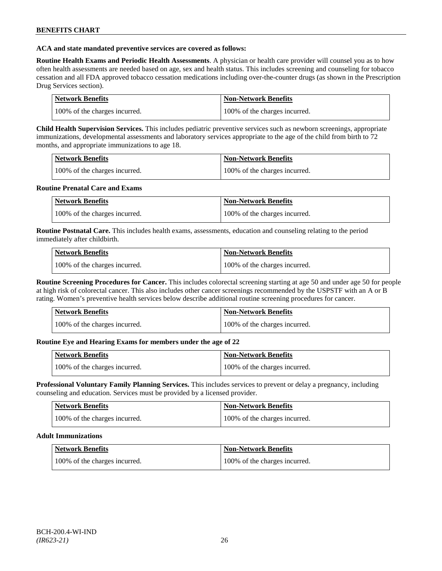### **ACA and state mandated preventive services are covered as follows:**

**Routine Health Exams and Periodic Health Assessments**. A physician or health care provider will counsel you as to how often health assessments are needed based on age, sex and health status. This includes screening and counseling for tobacco cessation and all FDA approved tobacco cessation medications including over-the-counter drugs (as shown in the Prescription Drug Services section).

| Network Benefits              | Non-Network Benefits          |
|-------------------------------|-------------------------------|
| 100% of the charges incurred. | 100% of the charges incurred. |

**Child Health Supervision Services.** This includes pediatric preventive services such as newborn screenings, appropriate immunizations, developmental assessments and laboratory services appropriate to the age of the child from birth to 72 months, and appropriate immunizations to age 18.

| <b>Network Benefits</b>       | <b>Non-Network Benefits</b>   |
|-------------------------------|-------------------------------|
| 100% of the charges incurred. | 100% of the charges incurred. |

### **Routine Prenatal Care and Exams**

| Network Benefits              | Non-Network Benefits          |
|-------------------------------|-------------------------------|
| 100% of the charges incurred. | 100% of the charges incurred. |

**Routine Postnatal Care.** This includes health exams, assessments, education and counseling relating to the period immediately after childbirth.

| <b>Network Benefits</b>       | Non-Network Benefits          |
|-------------------------------|-------------------------------|
| 100% of the charges incurred. | 100% of the charges incurred. |

**Routine Screening Procedures for Cancer.** This includes colorectal screening starting at age 50 and under age 50 for people at high risk of colorectal cancer. This also includes other cancer screenings recommended by the USPSTF with an A or B rating. Women's preventive health services below describe additional routine screening procedures for cancer.

| Network Benefits              | <b>Non-Network Benefits</b>   |
|-------------------------------|-------------------------------|
| 100% of the charges incurred. | 100% of the charges incurred. |

# **Routine Eye and Hearing Exams for members under the age of 22**

| Network Benefits              | <b>Non-Network Benefits</b>   |
|-------------------------------|-------------------------------|
| 100% of the charges incurred. | 100% of the charges incurred. |

**Professional Voluntary Family Planning Services.** This includes services to prevent or delay a pregnancy, including counseling and education. Services must be provided by a licensed provider.

| <b>Network Benefits</b>       | <b>Non-Network Benefits</b>   |
|-------------------------------|-------------------------------|
| 100% of the charges incurred. | 100% of the charges incurred. |

#### **Adult Immunizations**

| <b>Network Benefits</b>       | <b>Non-Network Benefits</b>   |
|-------------------------------|-------------------------------|
| 100% of the charges incurred. | 100% of the charges incurred. |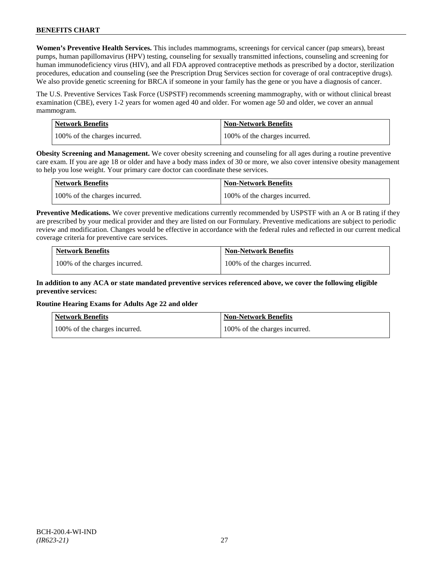**Women's Preventive Health Services.** This includes mammograms, screenings for cervical cancer (pap smears), breast pumps, human papillomavirus (HPV) testing, counseling for sexually transmitted infections, counseling and screening for human immunodeficiency virus (HIV), and all FDA approved contraceptive methods as prescribed by a doctor, sterilization procedures, education and counseling (see the Prescription Drug Services section for coverage of oral contraceptive drugs). We also provide genetic screening for BRCA if someone in your family has the gene or you have a diagnosis of cancer.

The U.S. Preventive Services Task Force (USPSTF) recommends screening mammography, with or without clinical breast examination (CBE), every 1-2 years for women aged 40 and older. For women age 50 and older, we cover an annual mammogram.

| Network Benefits              | <b>Non-Network Benefits</b>   |
|-------------------------------|-------------------------------|
| 100% of the charges incurred. | 100% of the charges incurred. |

**Obesity Screening and Management.** We cover obesity screening and counseling for all ages during a routine preventive care exam. If you are age 18 or older and have a body mass index of 30 or more, we also cover intensive obesity management to help you lose weight. Your primary care doctor can coordinate these services.

| <b>Network Benefits</b>       | <b>Non-Network Benefits</b>   |
|-------------------------------|-------------------------------|
| 100% of the charges incurred. | 100% of the charges incurred. |

**Preventive Medications.** We cover preventive medications currently recommended by USPSTF with an A or B rating if they are prescribed by your medical provider and they are listed on our Formulary. Preventive medications are subject to periodic review and modification. Changes would be effective in accordance with the federal rules and reflected in our current medical coverage criteria for preventive care services.

| <b>Network Benefits</b>       | <b>Non-Network Benefits</b>   |
|-------------------------------|-------------------------------|
| 100% of the charges incurred. | 100% of the charges incurred. |

# **In addition to any ACA or state mandated preventive services referenced above, we cover the following eligible preventive services:**

# **Routine Hearing Exams for Adults Age 22 and older**

| <b>Network Benefits</b>       | <b>Non-Network Benefits</b>   |
|-------------------------------|-------------------------------|
| 100% of the charges incurred. | 100% of the charges incurred. |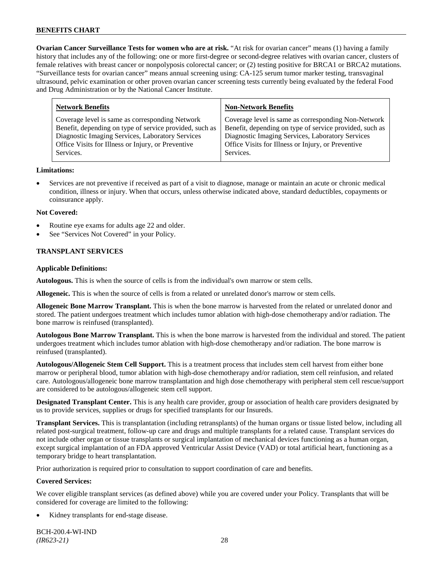**Ovarian Cancer Surveillance Tests for women who are at risk.** "At risk for ovarian cancer" means (1) having a family history that includes any of the following: one or more first-degree or second-degree relatives with ovarian cancer, clusters of female relatives with breast cancer or nonpolyposis colorectal cancer; or (2) testing positive for BRCA1 or BRCA2 mutations. "Surveillance tests for ovarian cancer" means annual screening using: CA-125 serum tumor marker testing, transvaginal ultrasound, pelvic examination or other proven ovarian cancer screening tests currently being evaluated by the federal Food and Drug Administration or by the National Cancer Institute.

| <b>Network Benefits</b>                                 | <b>Non-Network Benefits</b>                             |
|---------------------------------------------------------|---------------------------------------------------------|
| Coverage level is same as corresponding Network         | Coverage level is same as corresponding Non-Network     |
| Benefit, depending on type of service provided, such as | Benefit, depending on type of service provided, such as |
| Diagnostic Imaging Services, Laboratory Services        | Diagnostic Imaging Services, Laboratory Services        |
| Office Visits for Illness or Injury, or Preventive      | Office Visits for Illness or Injury, or Preventive      |
| Services.                                               | Services.                                               |

### **Limitations:**

• Services are not preventive if received as part of a visit to diagnose, manage or maintain an acute or chronic medical condition, illness or injury. When that occurs, unless otherwise indicated above, standard deductibles, copayments or coinsurance apply.

### **Not Covered:**

- Routine eye exams for adults age 22 and older.
- See "Services Not Covered" in your Policy.

# **TRANSPLANT SERVICES**

### **Applicable Definitions:**

**Autologous.** This is when the source of cells is from the individual's own marrow or stem cells.

**Allogeneic.** This is when the source of cells is from a related or unrelated donor's marrow or stem cells.

**Allogeneic Bone Marrow Transplant.** This is when the bone marrow is harvested from the related or unrelated donor and stored. The patient undergoes treatment which includes tumor ablation with high-dose chemotherapy and/or radiation. The bone marrow is reinfused (transplanted).

**Autologous Bone Marrow Transplant.** This is when the bone marrow is harvested from the individual and stored. The patient undergoes treatment which includes tumor ablation with high-dose chemotherapy and/or radiation. The bone marrow is reinfused (transplanted).

**Autologous/Allogeneic Stem Cell Support.** This is a treatment process that includes stem cell harvest from either bone marrow or peripheral blood, tumor ablation with high-dose chemotherapy and/or radiation, stem cell reinfusion, and related care. Autologous/allogeneic bone marrow transplantation and high dose chemotherapy with peripheral stem cell rescue/support are considered to be autologous/allogeneic stem cell support.

**Designated Transplant Center.** This is any health care provider, group or association of health care providers designated by us to provide services, supplies or drugs for specified transplants for our Insureds.

**Transplant Services.** This is transplantation (including retransplants) of the human organs or tissue listed below, including all related post-surgical treatment, follow-up care and drugs and multiple transplants for a related cause. Transplant services do not include other organ or tissue transplants or surgical implantation of mechanical devices functioning as a human organ, except surgical implantation of an FDA approved Ventricular Assist Device (VAD) or total artificial heart, functioning as a temporary bridge to heart transplantation.

Prior authorization is required prior to consultation to support coordination of care and benefits.

# **Covered Services:**

We cover eligible transplant services (as defined above) while you are covered under your Policy. Transplants that will be considered for coverage are limited to the following:

Kidney transplants for end-stage disease.

BCH-200.4-WI-IND *(IR623-21)* 28